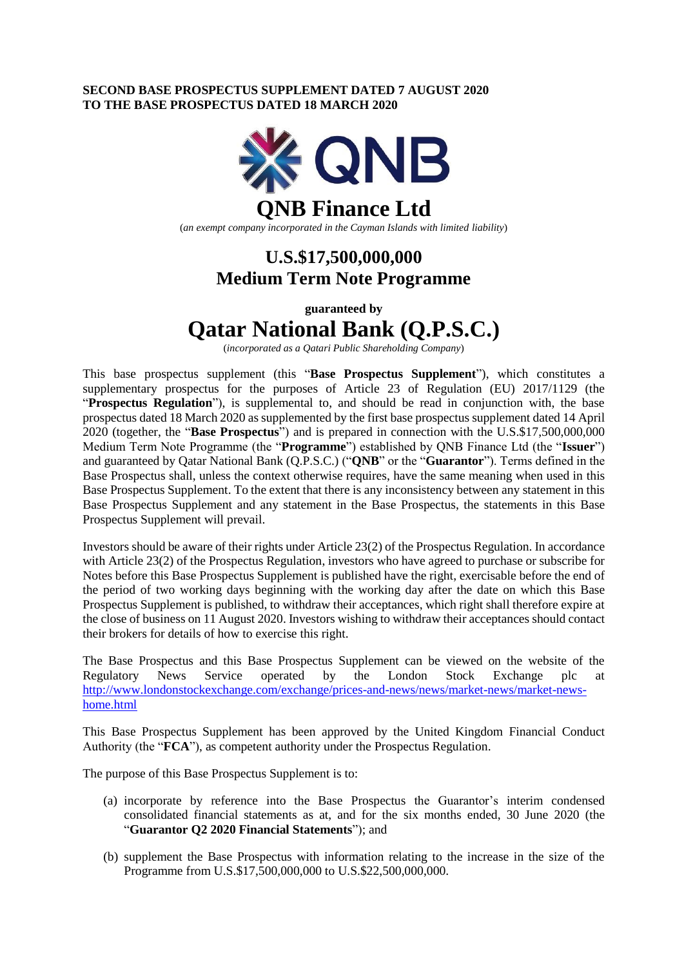## **SECOND BASE PROSPECTUS SUPPLEMENT DATED 7 AUGUST 2020 TO THE BASE PROSPECTUS DATED 18 MARCH 2020**



# **U.S.\$17,500,000,000 Medium Term Note Programme**

**guaranteed by**

# **Qatar National Bank (Q.P.S.C.)**

(*incorporated as a Qatari Public Shareholding Company*)

This base prospectus supplement (this "**Base Prospectus Supplement**"), which constitutes a supplementary prospectus for the purposes of Article 23 of Regulation (EU) 2017/1129 (the "**Prospectus Regulation**"), is supplemental to, and should be read in conjunction with, the base prospectus dated 18 March 2020 as supplemented by the first base prospectus supplement dated 14 April 2020 (together, the "**Base Prospectus**") and is prepared in connection with the U.S.\$17,500,000,000 Medium Term Note Programme (the "**Programme**") established by QNB Finance Ltd (the "**Issuer**") and guaranteed by Qatar National Bank (Q.P.S.C.) ("**QNB**" or the "**Guarantor**"). Terms defined in the Base Prospectus shall, unless the context otherwise requires, have the same meaning when used in this Base Prospectus Supplement. To the extent that there is any inconsistency between any statement in this Base Prospectus Supplement and any statement in the Base Prospectus, the statements in this Base Prospectus Supplement will prevail.

Investors should be aware of their rights under Article 23(2) of the Prospectus Regulation. In accordance with Article 23(2) of the Prospectus Regulation, investors who have agreed to purchase or subscribe for Notes before this Base Prospectus Supplement is published have the right, exercisable before the end of the period of two working days beginning with the working day after the date on which this Base Prospectus Supplement is published, to withdraw their acceptances, which right shall therefore expire at the close of business on 11 August 2020. Investors wishing to withdraw their acceptances should contact their brokers for details of how to exercise this right.

The Base Prospectus and this Base Prospectus Supplement can be viewed on the website of the Regulatory News Service operated by the London Stock Exchange plc at [http://www.londonstockexchange.com/exchange/prices-and-news/news/market-news/market-news](http://www.londonstockexchange.com/exchange/prices-and-news/news/market-news/market-news-home.html)[home.html](http://www.londonstockexchange.com/exchange/prices-and-news/news/market-news/market-news-home.html)

This Base Prospectus Supplement has been approved by the United Kingdom Financial Conduct Authority (the "**FCA**"), as competent authority under the Prospectus Regulation.

The purpose of this Base Prospectus Supplement is to:

- (a) incorporate by reference into the Base Prospectus the Guarantor's interim condensed consolidated financial statements as at, and for the six months ended, 30 June 2020 (the "**Guarantor Q2 2020 Financial Statements**"); and
- (b) supplement the Base Prospectus with information relating to the increase in the size of the Programme from U.S.\$17,500,000,000 to U.S.\$22,500,000,000.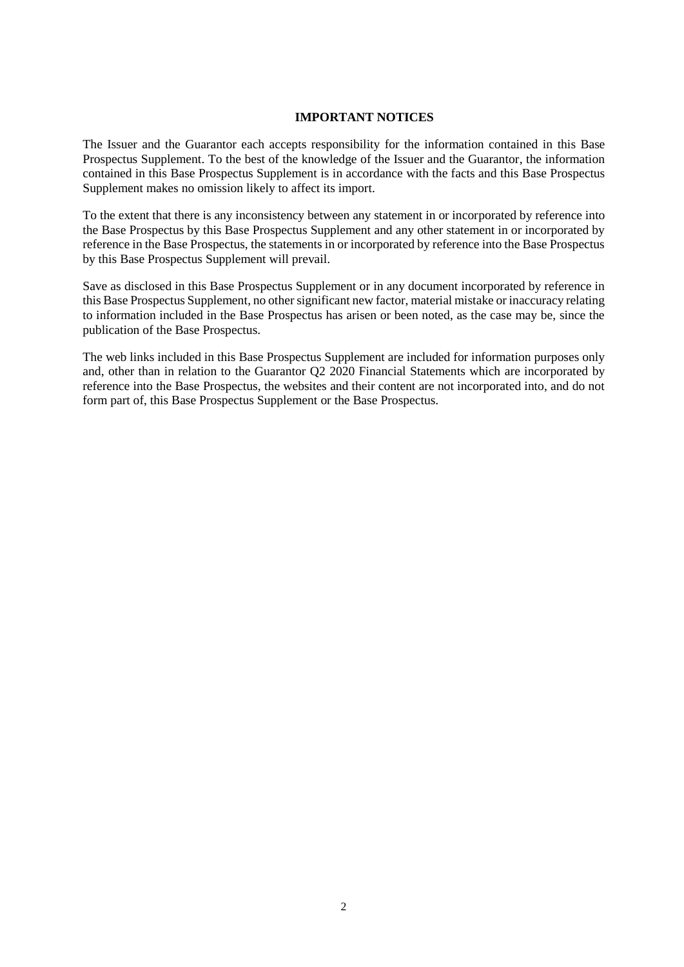### **IMPORTANT NOTICES**

The Issuer and the Guarantor each accepts responsibility for the information contained in this Base Prospectus Supplement. To the best of the knowledge of the Issuer and the Guarantor, the information contained in this Base Prospectus Supplement is in accordance with the facts and this Base Prospectus Supplement makes no omission likely to affect its import.

To the extent that there is any inconsistency between any statement in or incorporated by reference into the Base Prospectus by this Base Prospectus Supplement and any other statement in or incorporated by reference in the Base Prospectus, the statements in or incorporated by reference into the Base Prospectus by this Base Prospectus Supplement will prevail.

Save as disclosed in this Base Prospectus Supplement or in any document incorporated by reference in this Base Prospectus Supplement, no other significant new factor, material mistake or inaccuracy relating to information included in the Base Prospectus has arisen or been noted, as the case may be, since the publication of the Base Prospectus.

The web links included in this Base Prospectus Supplement are included for information purposes only and, other than in relation to the Guarantor Q2 2020 Financial Statements which are incorporated by reference into the Base Prospectus, the websites and their content are not incorporated into, and do not form part of, this Base Prospectus Supplement or the Base Prospectus.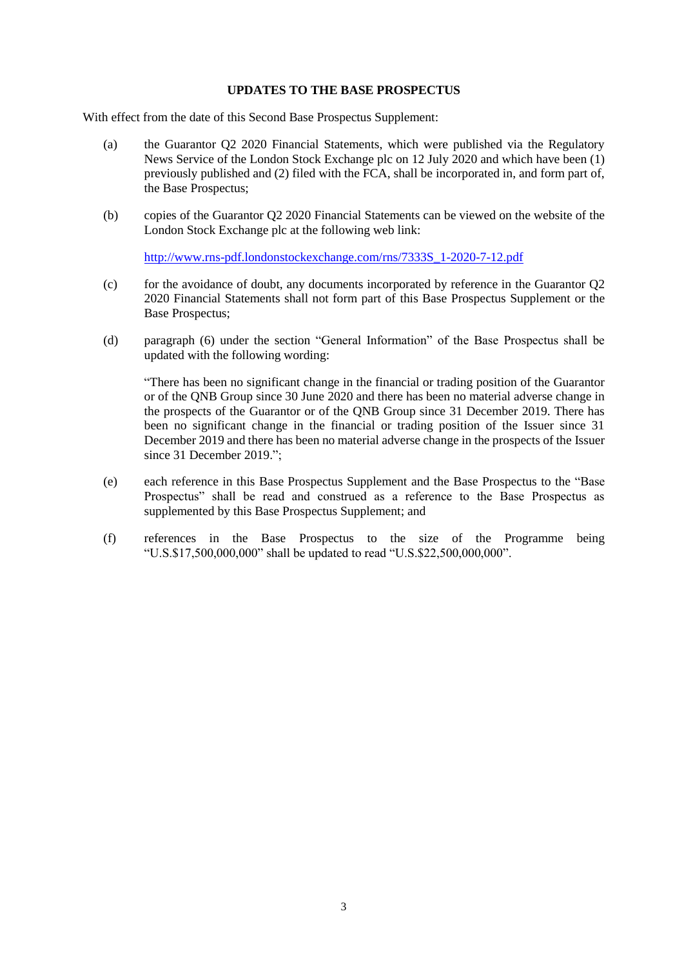### **UPDATES TO THE BASE PROSPECTUS**

With effect from the date of this Second Base Prospectus Supplement:

- (a) the Guarantor Q2 2020 Financial Statements, which were published via the Regulatory News Service of the London Stock Exchange plc on 12 July 2020 and which have been (1) previously published and (2) filed with the FCA, shall be incorporated in, and form part of, the Base Prospectus;
- (b) copies of the Guarantor Q2 2020 Financial Statements can be viewed on the website of the London Stock Exchange plc at the following web link:

[http://www.rns-pdf.londonstockexchange.com/rns/7333S\\_1-2020-7-12.pdf](http://www.rns-pdf.londonstockexchange.com/rns/7333S_1-2020-7-12.pdf)

- (c) for the avoidance of doubt, any documents incorporated by reference in the Guarantor Q2 2020 Financial Statements shall not form part of this Base Prospectus Supplement or the Base Prospectus;
- (d) paragraph (6) under the section "General Information" of the Base Prospectus shall be updated with the following wording:

"There has been no significant change in the financial or trading position of the Guarantor or of the QNB Group since 30 June 2020 and there has been no material adverse change in the prospects of the Guarantor or of the QNB Group since 31 December 2019. There has been no significant change in the financial or trading position of the Issuer since 31 December 2019 and there has been no material adverse change in the prospects of the Issuer since 31 December 2019.";

- (e) each reference in this Base Prospectus Supplement and the Base Prospectus to the "Base Prospectus" shall be read and construed as a reference to the Base Prospectus as supplemented by this Base Prospectus Supplement; and
- (f) references in the Base Prospectus to the size of the Programme being "U.S.\$17,500,000,000" shall be updated to read "U.S.\$22,500,000,000".